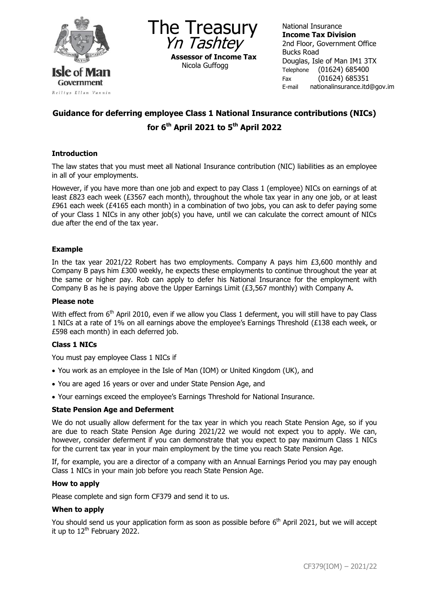

The Treasury Yn Tashtey **Assessor of Income Tax** Nicola Guffogg

National Insurance **Income Tax Division** 2nd Floor, Government Office Bucks Road Douglas, Isle of Man IM1 3TX Telephone (01624) 685400 Fax (01624) 685351 E-mail nationalinsurance.itd@gov.im

# **Guidance for deferring employee Class 1 National Insurance contributions (NICs) for 6th April 2021 to 5th April 2022**

## **Introduction**

The law states that you must meet all National Insurance contribution (NIC) liabilities as an employee in all of your employments.

However, if you have more than one job and expect to pay Class 1 (employee) NICs on earnings of at least £823 each week (£3567 each month), throughout the whole tax year in any one job, or at least £961 each week (£4165 each month) in a combination of two jobs, you can ask to defer paying some of your Class 1 NICs in any other job(s) you have, until we can calculate the correct amount of NICs due after the end of the tax year.

## **Example**

In the tax year 2021/22 Robert has two employments. Company A pays him £3,600 monthly and Company B pays him £300 weekly, he expects these employments to continue throughout the year at the same or higher pay. Rob can apply to defer his National Insurance for the employment with Company B as he is paying above the Upper Earnings Limit (£3,567 monthly) with Company A.

## **Please note**

With effect from 6<sup>th</sup> April 2010, even if we allow you Class 1 deferment, you will still have to pay Class 1 NICs at a rate of 1% on all earnings above the employee's Earnings Threshold (£138 each week, or £598 each month) in each deferred job.

## **Class 1 NICs**

You must pay employee Class 1 NICs if

- You work as an employee in the Isle of Man (IOM) or United Kingdom (UK), and
- You are aged 16 years or over and under State Pension Age, and
- Your earnings exceed the employee's Earnings Threshold for National Insurance.

## **State Pension Age and Deferment**

We do not usually allow deferment for the tax year in which you reach State Pension Age, so if you are due to reach State Pension Age during 2021/22 we would not expect you to apply. We can, however, consider deferment if you can demonstrate that you expect to pay maximum Class 1 NICs for the current tax year in your main employment by the time you reach State Pension Age.

If, for example, you are a director of a company with an Annual Earnings Period you may pay enough Class 1 NICs in your main job before you reach State Pension Age.

#### **How to apply**

Please complete and sign form CF379 and send it to us.

#### **When to apply**

You should send us your application form as soon as possible before 6<sup>th</sup> April 2021, but we will accept it up to  $12^{th}$  February 2022.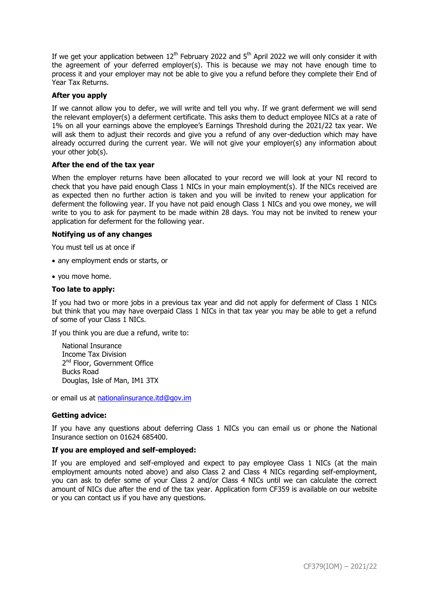If we get your application between  $12<sup>th</sup>$  February 2022 and  $5<sup>th</sup>$  April 2022 we will only consider it with the agreement of your deferred employer(s). This is because we may not have enough time to process it and your employer may not be able to give you a refund before they complete their End of Year Tax Returns.

## **After you apply**

If we cannot allow you to defer, we will write and tell you why. If we grant deferment we will send the relevant employer(s) a deferment certificate. This asks them to deduct employee NICs at a rate of 1% on all your earnings above the employee's Earnings Threshold during the 2021/22 tax year. We will ask them to adjust their records and give you a refund of any over-deduction which may have already occurred during the current year. We will not give your employer(s) any information about your other job(s).

#### **After the end of the tax year**

When the employer returns have been allocated to your record we will look at your NI record to check that you have paid enough Class 1 NICs in your main employment(s). If the NICs received are as expected then no further action is taken and you will be invited to renew your application for deferment the following year. If you have not paid enough Class 1 NICs and you owe money, we will write to you to ask for payment to be made within 28 days. You may not be invited to renew your application for deferment for the following year.

#### **Notifying us of any changes**

You must tell us at once if

- any employment ends or starts, or
- you move home.

#### **Too late to apply:**

If you had two or more jobs in a previous tax year and did not apply for deferment of Class 1 NICs but think that you may have overpaid Class 1 NICs in that tax year you may be able to get a refund of some of your Class 1 NICs.

If you think you are due a refund, write to:

National Insurance Income Tax Division 2<sup>nd</sup> Floor, Government Office Bucks Road Douglas, Isle of Man, IM1 3TX

or email us at [nationalinsurance.itd@gov.im](mailto:nationalinsurance.itd@gov.im)

#### **Getting advice:**

If you have any questions about deferring Class 1 NICs you can email us or phone the National Insurance section on 01624 685400.

#### **If you are employed and self-employed:**

If you are employed and self-employed and expect to pay employee Class 1 NICs (at the main employment amounts noted above) and also Class 2 and Class 4 NICs regarding self-employment, you can ask to defer some of your Class 2 and/or Class 4 NICs until we can calculate the correct amount of NICs due after the end of the tax year. Application form CF359 is available on our website or you can contact us if you have any questions.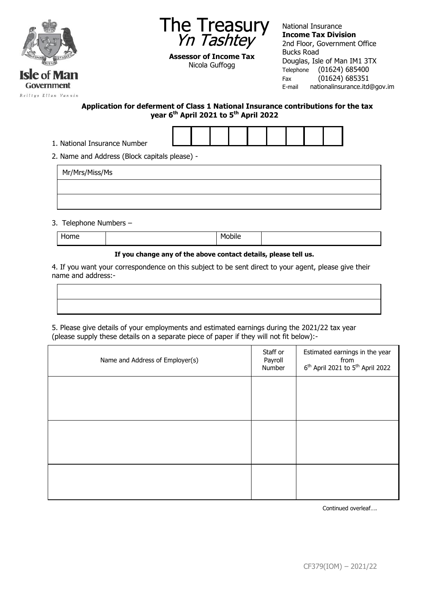



**Assessor of Income Tax** Nicola Guffogg

National Insurance **Income Tax Division** 2nd Floor, Government Office Bucks Road Douglas, Isle of Man IM1 3TX Telephone (01624) 685400 Fax (01624) 685351 E-mail nationalinsurance.itd@gov.im

**Application for deferment of Class 1 National Insurance contributions for the tax year 6th April 2021 to 5th April 2022**



2. Name and Address (Block capitals please) -

| Mr/Mrs/Miss/Ms |  |  |  |
|----------------|--|--|--|
|                |  |  |  |
|                |  |  |  |

3. Telephone Numbers –

| --<br>π∟ |  |
|----------|--|
|----------|--|

#### **If you change any of the above contact details, please tell us.**

4. If you want your correspondence on this subject to be sent direct to your agent, please give their name and address:-

5. Please give details of your employments and estimated earnings during the 2021/22 tax year (please supply these details on a separate piece of paper if they will not fit below):-

| Estimated earnings in the year<br>from<br>6 <sup>th</sup> April 2021 to 5 <sup>th</sup> April 2022 |
|----------------------------------------------------------------------------------------------------|
|                                                                                                    |
|                                                                                                    |
|                                                                                                    |
|                                                                                                    |
|                                                                                                    |

Continued overleaf….